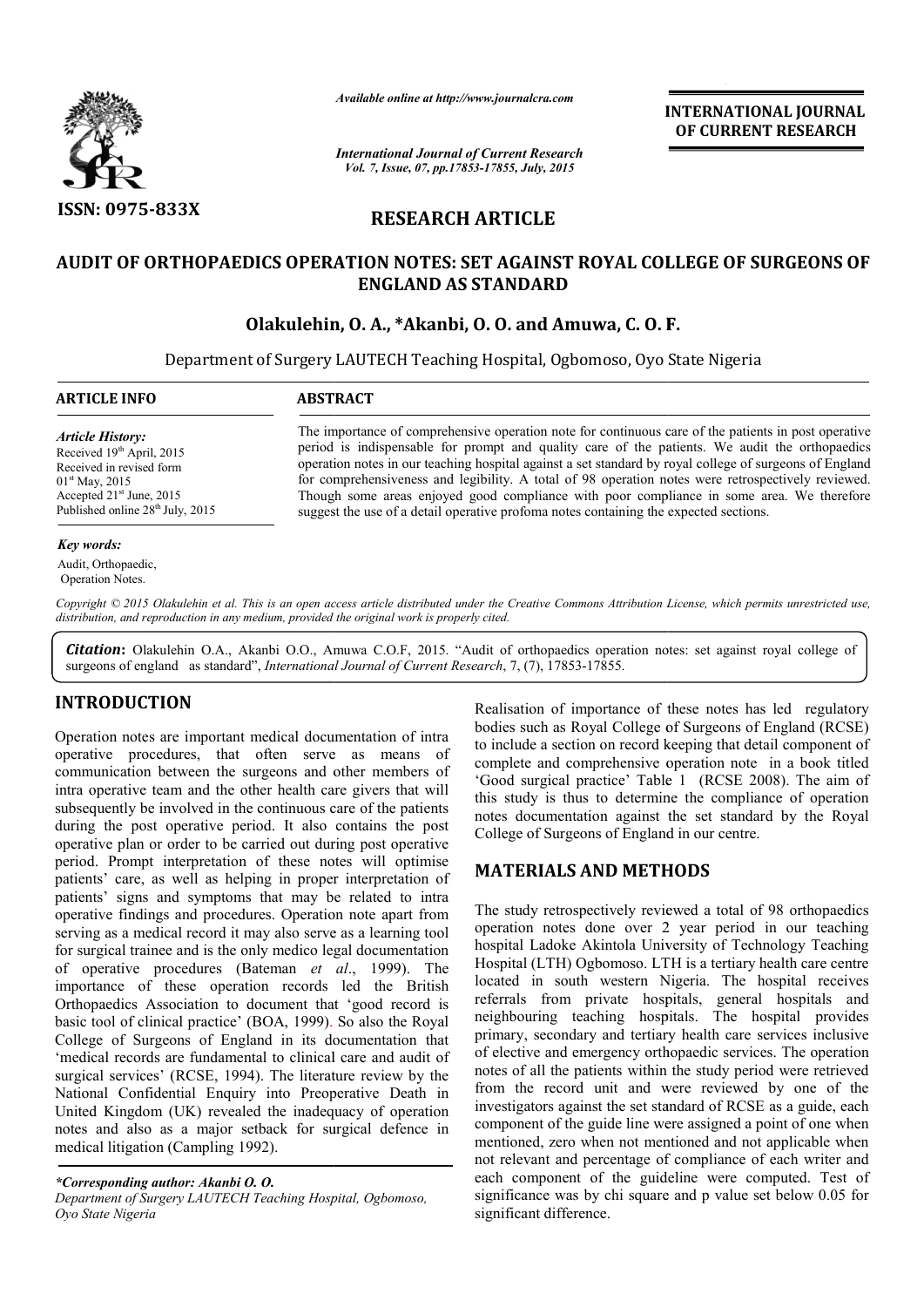

*Available online at http://www.journalcra.com*

*International Journal of Current Research Vol. 7, Issue, 07, pp.17853-17855, July, 2015*

**INTERNATIONAL INTERNATIONAL JOURNAL OF CURRENT RESEARCH** 

## **RESEARCH ARTICLE**

# AUDIT OF ORTHOPAEDICS OPERATION NOTES: SET AGAINST ROYAL COLLEGE OF SURGEONS OF<br>ENGLAND AS STANDARD<br>Olakulehin, O. A., \*Akanbi, O. O. and Amuwa, C. O. F. **ENGLAND AS STANDARD**

## **Olakulehin Olakulehin, O. A., \*Akanbi, O. O. and Amuwa, C. O. F.**

Department of Surgery LAUTECH Teaching Hospital, Ogbomoso, Oyo State Nigeria 1

#### **ABSTRACT**

*Article History:* Received 19<sup>th</sup> April, 2015 Received in revised form 01st May, 2015 Accepted 21st June, 2015 Published online 28<sup>th</sup> July, 2015

#### *Key words:*

Audit, Orthopaedic, Operation Notes.

Copyright © 2015 Olakulehin et al. This is an open access article distributed under the Creative Commons Attribution License, which permits unrestricted use, *distribution, and reproduction in any medium, provided the original work is properly cited.*

Citation: Olakulehin O.A., Akanbi O.O., Amuwa C.O.F, 2015. "Audit of orthopaedics operation notes: set against royal college of surgeons of england as standard", *International Journal of Current Research* , 7, (7), 17853-17855.

#### **INTRODUCTION**

Operation notes are important medical documentation of intra operative procedures, that often serve as means of communication between the surgeons and other members of intra operative team and the other health care givers that will subsequently be involved in the continuous care of the patients during the post operative period. It also contains the post operative plan or order to be carried out during post operative period. Prompt interpretation of these notes will optimise patients' care, as well as helping in proper interpretation of patients' signs and symptoms that may be related to intra operative findings and procedures. Operation note apart from serving as a medical record it may also serve as a learning tool for surgical trainee and is the only medico legal documentation patients' care, as well as helping in proper interpretation of patients' signs and symptoms that may be related to intra operative findings and procedures. Operation note apart from serving as a medical record it may also importance of these operation records led the British Orthopaedics Association to document that 'good record is basic tool of clinical practice' (BOA, 1999). So also the Royal College of Surgeons of England in its documentation that 'medical records are fundamental to clinical care and audit of surgical services' (RCSE, 1994). The literature review by the National Confidential Enquiry into Preoperative Death in United Kingdom (UK) revealed the inadequacy of operation notes and also as a major setback for surgical defence in medical litigation (Campling 1992). **EXERIGE SET THE ARTERIFUS AND**<br> **ENGISEDION TO INTEREVATE:** The and a material documentation of intra<br> **ENGISE THE ARTE CONSET THE ARTE CONSET ARTE ARTE CONSETVENT IN THE CONSETVENT ON THE ARTE CONSETT ARTE ARTE ARTE ARTE** 

*\*Corresponding author: Akanbi O. O. Department of Surgery LAUTECH Teaching Hospital, Ogbomoso, Oyo State Nigeria*

bodies such as Royal College of Surgeons of England (RCSE) to include a section on record keeping that detail component of complete and comprehensive operation note in a book titled 'Good surgical practice' Table 1 (RCSE 2008). The aim of this study is thus to determine the compliance of operation notes documentation against the set standard by the Royal College of Surgeons of England in our centre. College of Surgeons of England in our centre. Realisation of importance of these notes has led regulatory<br>bodies such as Royal College of Surgeons of England (RCSE)<br>to include a section on record keeping that detail component of<br>complete and comprehensive operation no

## **MATERIALS AND METHOD METHODS**

The importance of comprehensive operation note for continuous care of the patients in post operative period is indispensable for prompt and quality care of the patients. We audit the orthopaedics operation notes in our teaching hospital against a set standard by royal college of surgeons of England for comprehensiveness and legibility. A total of 98 operation notes were retrospectively reviewed. Though some areas enjoyed good compliance with poor compliance in some area. We therefore

The importance of comprehensive operation note for continuous care of the patients in post operative period is indispensable for prompt and quality care of the patients. We audit the orthopaedics operation notes in our tea

suggest the use of a detail operative profoma notes containing the expected sections.

The study retrospectively reviewed a total of 98 orthopaedics The study retrospectively reviewed a total of 98 orthopaedics operation notes done over 2 year period in our teaching hospital Ladoke Akintola University of Technology Teaching Hospital (LTH) Ogbomoso. LTH is a tertiary health care centre hospital Ladoke Akintola University of Technology Teaching<br>Hospital (LTH) Ogbomoso. LTH is a tertiary health care centre<br>located in south western Nigeria. The hospital receives referrals from private hospitals, general hospitals and neighbouring teaching hospitals. The hospital provides primary, secondary and tertiary health care services inclusive of elective and emergency orthopaedic services. The operation notes of all the patients within the study period were retrieved from the record unit and were reviewed by one of the investigators against the set standard of RCSE as a guide, each component of the guide line were assigned a point of one when mentioned, zero when not mentioned and not applicable when not relevant and percentage of compliance of each writer each component of the guideline were computed. Test of significance was by chi square and p value set below 0.05 for significant difference. referrals from private hospitals, general hospitals and neighbouring teaching hospitals. The hospital provides primary, secondary and tertiary health care services inclusive of elective and emergency orthopaedic services. **NTERNATIONAL JOURNAL**<br> **OF CURRENT RESEARCH**<br> **OF CURRENT RESEARCH**<br> **CONSIGNATION CONSIGE CONSIGE CONSIGE CONSIGE CONSIGE CONSIGE CONSIGNATION**<br>
<sup>1</sup>. That the other propertively revived to the set were retrospected set<br>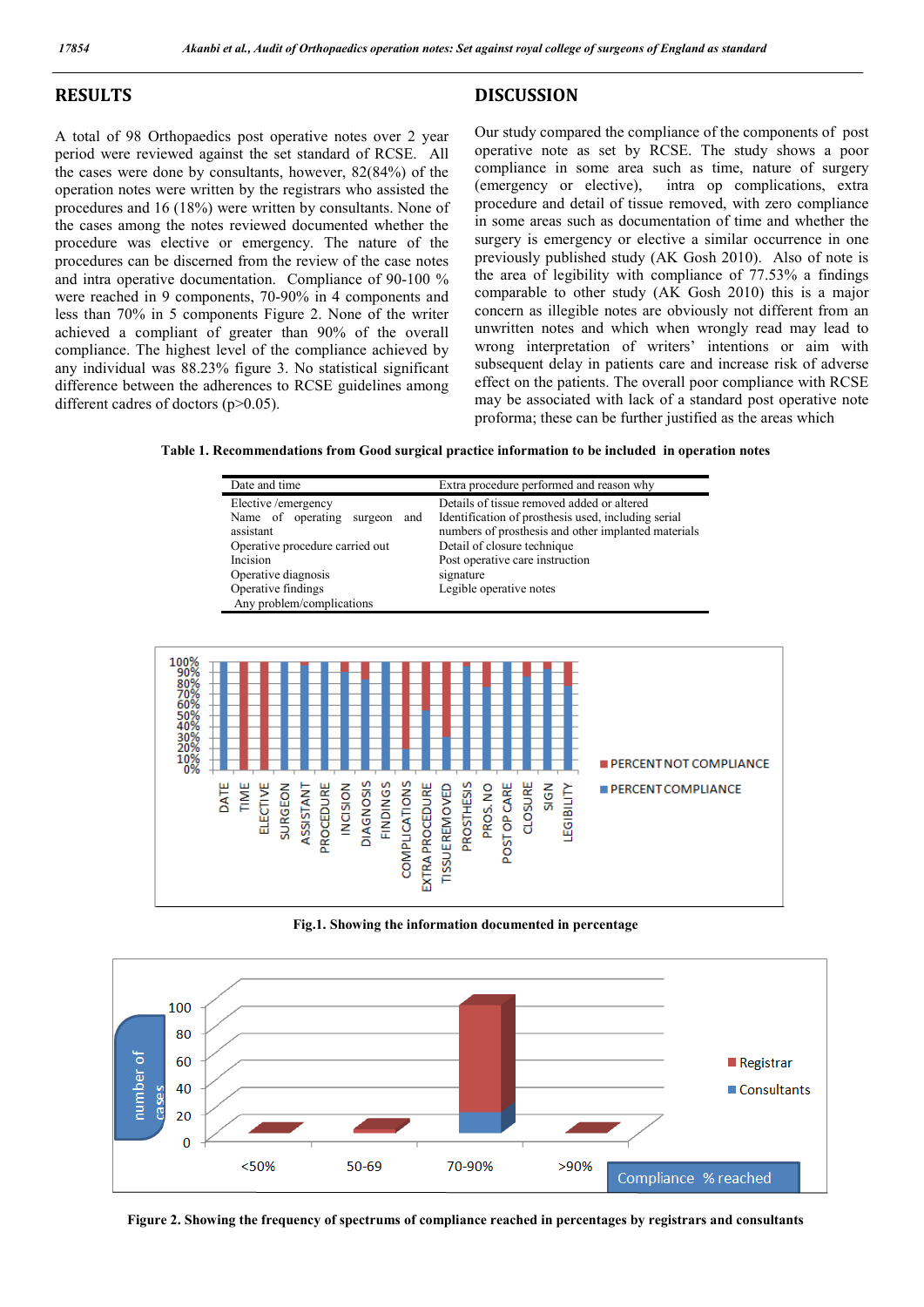## **RESULTS**

A total of 98 Orthopaedics post operative notes over 2 year period were reviewed against the set standard of RCSE. All the cases were done by consultants, however, 82(84%) of the operation notes were written by the registrars who assisted the procedures and 16 (18%) were written by consultants. None of the cases among the notes reviewed documented whether the procedure was elective or emergency. The nature of the procedures can be discerned from the review of the case notes and intra operative documentation. Compliance of 90-100 % were reached in 9 components, 70-90% in 4 components and less than 70% in 5 components Figure 2. None of the writer achieved a compliant of greater than 90% of the overall compliance. The highest level of the compliance achieved by any individual was 88.23% figure 3. No statistical significant difference between the adherences to RCSE guidelines among different cadres of doctors (p>0.05).

Our study compared the compliance of the components of post operative note as set by RCSE. The study shows a poor compliance in some area such as time, nature of surgery (emergency or elective), intra op complications, extra procedure and detail of tissue removed, with zero compliance in some areas such as documentation of time and whether the surgery is emergency or elective a similar occurrence in one previously published study (AK Gosh 2010). Also of note is the area of legibility with compliance of 77.53% a findings comparable to other study (AK Gosh 2010) this is a major concern as illegible notes are obviously not different from an unwritten notes and which when wrongly read may lead to wrong interpretation of writers' intentions or aim with subsequent delay in patients care and increase risk of adverse effect on the patients. The overall poor compliance with RCSE may be associated with lack of a standard post operative note proforma; these can be further justified as the areas which

**Table 1. Recommendations from Good surgical practice information to be included in operation notes**

| Date and time                                                                                                          | Extra procedure performed and reason why                                                                                                                                                                                   |
|------------------------------------------------------------------------------------------------------------------------|----------------------------------------------------------------------------------------------------------------------------------------------------------------------------------------------------------------------------|
| Elective /emergency<br>Name of operating<br>and<br>surgeon<br>assistant<br>Operative procedure carried out<br>Incision | Details of tissue removed added or altered<br>Identification of prosthesis used, including serial<br>numbers of prosthesis and other implanted materials<br>Detail of closure technique<br>Post operative care instruction |
| Operative diagnosis<br>Operative findings<br>Any problem/complications                                                 | signature<br>Legible operative notes                                                                                                                                                                                       |



**Fig.1. Showing the information documented in percentage**



**Figure 2. Showing the frequency of spectrums of compliance reached in percentages by registrars and consultants**

### **DISCUSSION**